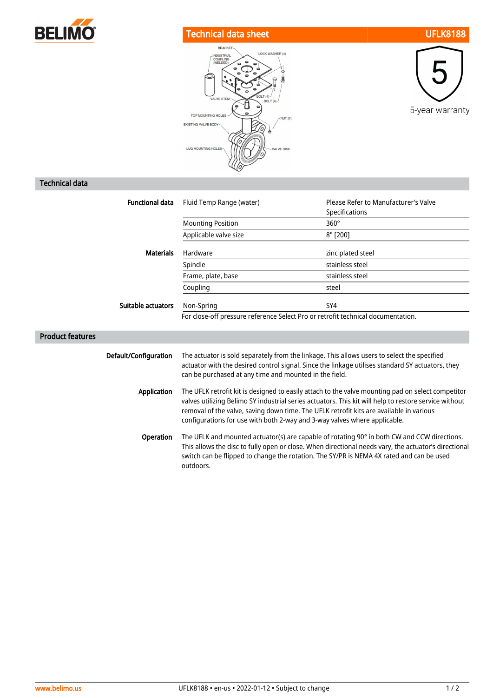

## Technical data sheet UFLK8188





## Technical data

| <b>Functional data</b>  | Fluid Temp Range (water)                                                                                                                                                                                                                                                                                                                                                           | Please Refer to Manufacturer's Valve<br>Specifications |
|-------------------------|------------------------------------------------------------------------------------------------------------------------------------------------------------------------------------------------------------------------------------------------------------------------------------------------------------------------------------------------------------------------------------|--------------------------------------------------------|
|                         | <b>Mounting Position</b>                                                                                                                                                                                                                                                                                                                                                           | $360^\circ$                                            |
|                         | Applicable valve size                                                                                                                                                                                                                                                                                                                                                              | 8" [200]                                               |
| <b>Materials</b>        | Hardware                                                                                                                                                                                                                                                                                                                                                                           | zinc plated steel                                      |
|                         | Spindle                                                                                                                                                                                                                                                                                                                                                                            | stainless steel                                        |
|                         | Frame, plate, base                                                                                                                                                                                                                                                                                                                                                                 | stainless steel                                        |
|                         | Coupling                                                                                                                                                                                                                                                                                                                                                                           | steel                                                  |
| Suitable actuators      | Non-Spring                                                                                                                                                                                                                                                                                                                                                                         | SY4                                                    |
|                         | For close-off pressure reference Select Pro or retrofit technical documentation.                                                                                                                                                                                                                                                                                                   |                                                        |
| <b>Product features</b> |                                                                                                                                                                                                                                                                                                                                                                                    |                                                        |
| Default/Configuration   | The actuator is sold separately from the linkage. This allows users to select the specified<br>actuator with the desired control signal. Since the linkage utilises standard SY actuators, they<br>can be purchased at any time and mounted in the field.                                                                                                                          |                                                        |
| <b>Application</b>      | The UFLK retrofit kit is designed to easily attach to the valve mounting pad on select competitor<br>valves utilizing Belimo SY industrial series actuators. This kit will help to restore service without<br>removal of the valve, saving down time. The UFLK retrofit kits are available in various<br>configurations for use with both 2-way and 3-way valves where applicable. |                                                        |
| Operation               | The UFLK and mounted actuator(s) are capable of rotating 90° in both CW and CCW directions.<br>This allows the disc to fully open or close. When directional needs vary, the actuator's directional<br>switch can be flipped to change the rotation. The SY/PR is NEMA 4X rated and can be used<br>outdoors.                                                                       |                                                        |